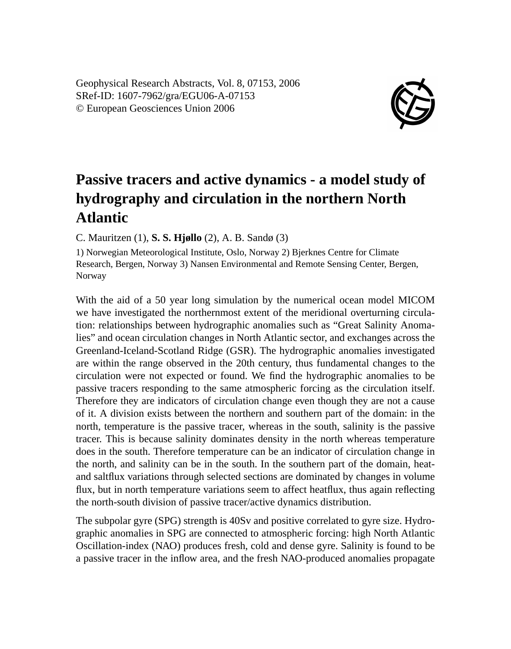Geophysical Research Abstracts, Vol. 8, 07153, 2006 SRef-ID: 1607-7962/gra/EGU06-A-07153 © European Geosciences Union 2006



## **Passive tracers and active dynamics - a model study of hydrography and circulation in the northern North Atlantic**

C. Mauritzen (1), **S. S. Hjøllo** (2), A. B. Sandø (3)

1) Norwegian Meteorological Institute, Oslo, Norway 2) Bjerknes Centre for Climate Research, Bergen, Norway 3) Nansen Environmental and Remote Sensing Center, Bergen, Norway

With the aid of a 50 year long simulation by the numerical ocean model MICOM we have investigated the northernmost extent of the meridional overturning circulation: relationships between hydrographic anomalies such as "Great Salinity Anomalies" and ocean circulation changes in North Atlantic sector, and exchanges across the Greenland-Iceland-Scotland Ridge (GSR). The hydrographic anomalies investigated are within the range observed in the 20th century, thus fundamental changes to the circulation were not expected or found. We find the hydrographic anomalies to be passive tracers responding to the same atmospheric forcing as the circulation itself. Therefore they are indicators of circulation change even though they are not a cause of it. A division exists between the northern and southern part of the domain: in the north, temperature is the passive tracer, whereas in the south, salinity is the passive tracer. This is because salinity dominates density in the north whereas temperature does in the south. Therefore temperature can be an indicator of circulation change in the north, and salinity can be in the south. In the southern part of the domain, heatand saltflux variations through selected sections are dominated by changes in volume flux, but in north temperature variations seem to affect heatflux, thus again reflecting the north-south division of passive tracer/active dynamics distribution.

The subpolar gyre (SPG) strength is 40Sv and positive correlated to gyre size. Hydrographic anomalies in SPG are connected to atmospheric forcing: high North Atlantic Oscillation-index (NAO) produces fresh, cold and dense gyre. Salinity is found to be a passive tracer in the inflow area, and the fresh NAO-produced anomalies propagate